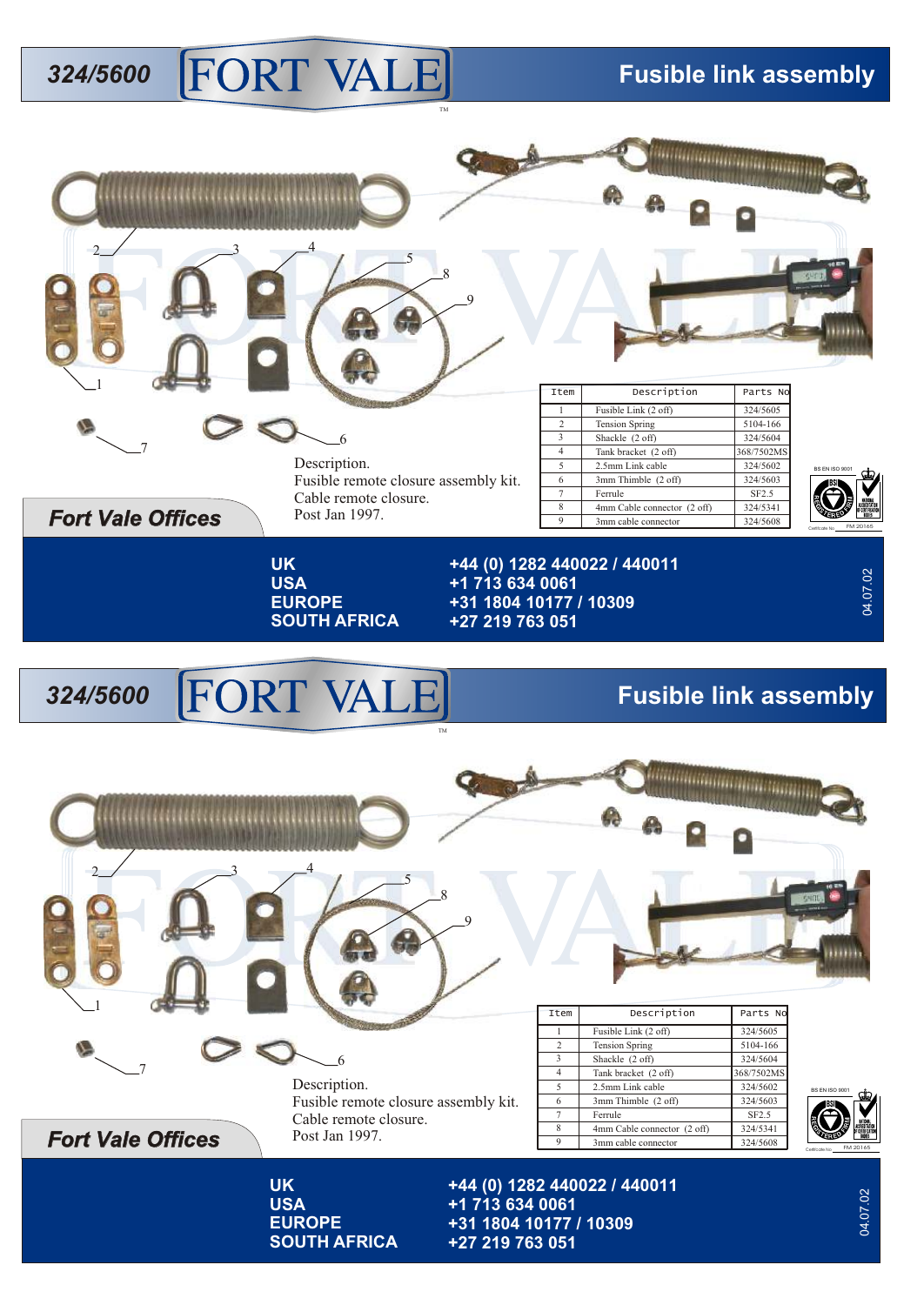## **324/5600 FORT VALE** Fusible link assembly